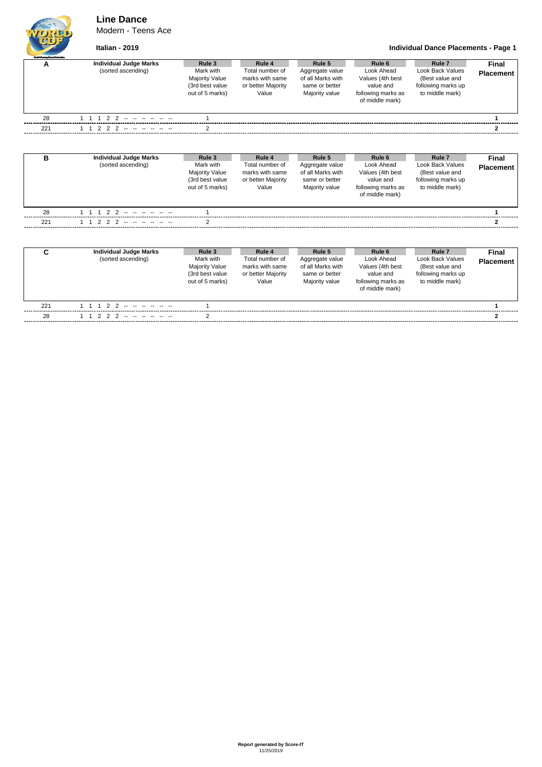## **Line Dance**

Modern - Teens Ace



**Italian - 2019 Individual Dance Placements - Page 1**

| <b>Outfi Grassy Davariatestic</b> |                                                     |                                                                                    |                                                                             |                                                                                    |                                                                                                           |                                                                                                          |                           |
|-----------------------------------|-----------------------------------------------------|------------------------------------------------------------------------------------|-----------------------------------------------------------------------------|------------------------------------------------------------------------------------|-----------------------------------------------------------------------------------------------------------|----------------------------------------------------------------------------------------------------------|---------------------------|
| А                                 | <b>Individual Judge Marks</b><br>(sorted ascending) | Rule 3<br>Mark with<br><b>Majority Value</b><br>(3rd best value<br>out of 5 marks) | Rule 4<br>Total number of<br>marks with same<br>or better Majority<br>Value | Rule 5<br>Aggregate value<br>of all Marks with<br>same or better<br>Majority value | Rule 6<br>Look Ahead<br>Values (4th best<br>value and<br>following marks as<br>of middle mark)            | Rule <sub>7</sub><br>Look Back Values<br>(Best value and<br>following marks up<br>to middle mark)        | Final<br><b>Placement</b> |
| 28                                |                                                     |                                                                                    |                                                                             |                                                                                    |                                                                                                           |                                                                                                          |                           |
| 221                               | $\mathcal{P}$<br>2                                  |                                                                                    |                                                                             |                                                                                    |                                                                                                           |                                                                                                          |                           |
| B                                 | <b>Individual Judge Marks</b><br>(sorted ascending) | Rule 3<br>Mark with<br><b>Majority Value</b><br>(3rd best value<br>out of 5 marks) | Rule 4<br>Total number of<br>marks with same<br>or better Majority<br>Value | Rule 5<br>Aggregate value<br>of all Marks with<br>same or better<br>Majority value | Rule 6<br>Look Ahead<br>Values (4th best<br>value and<br>following marks as<br>of middle mark)            | Rule <sub>7</sub><br><b>Look Back Values</b><br>(Best value and<br>following marks up<br>to middle mark) | Final<br><b>Placement</b> |
| 28                                | $\mathcal{P}$<br>$\mathcal{P}$                      |                                                                                    |                                                                             |                                                                                    |                                                                                                           |                                                                                                          |                           |
| 221                               |                                                     |                                                                                    |                                                                             |                                                                                    |                                                                                                           |                                                                                                          | 2                         |
| C                                 | <b>Individual Judge Marks</b><br>(sorted ascending) | Rule 3<br>Mark with<br><b>Majority Value</b><br>(3rd best value<br>out of 5 marks) | Rule 4<br>Total number of<br>marks with same<br>or better Majority<br>Value | Rule 5<br>Aggregate value<br>of all Marks with<br>same or better<br>Majority value | Rule <sub>6</sub><br>Look Ahead<br>Values (4th best<br>value and<br>following marks as<br>of middle mark) | Rule <sub>7</sub><br><b>Look Back Values</b><br>(Best value and<br>following marks up<br>to middle mark) | Final<br><b>Placement</b> |

221 1 1 1 2 2 -- -- -- -- -- -- 1 **1** 28 1 1 2 2 2 -- -- -- -- -- -- 2 **2**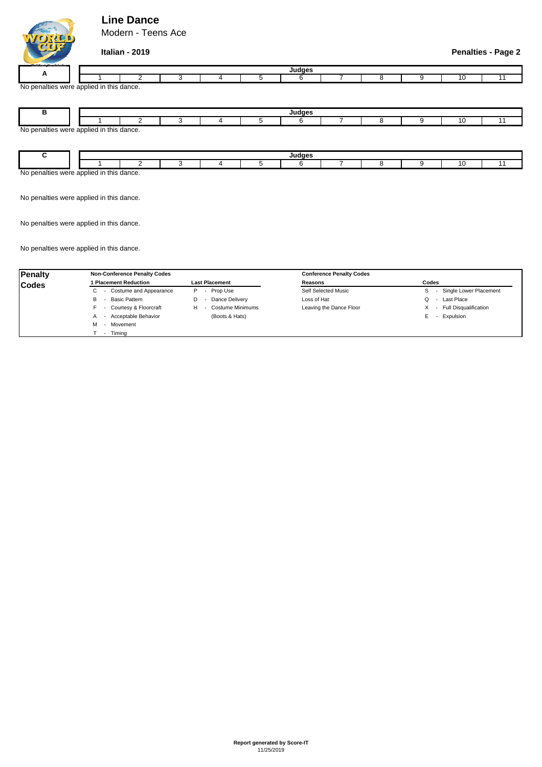## **Line Dance**

Modern - Teens Ace



### **Italian - 2019 Penalties - Page 2**

| _______       |                               |  |  |  |  |  |  |  |  |  |  |  |  |
|---------------|-------------------------------|--|--|--|--|--|--|--|--|--|--|--|--|
|               |                               |  |  |  |  |  |  |  |  |  |  |  |  |
| No<br>™altie… | s were applied in this dance. |  |  |  |  |  |  |  |  |  |  |  |  |

No penalties were applied in this dance. **B Judges** 1 | 2 | 3 | 4 | 5 | 6 | 7 | 8 9 10 11

| 1000c | וטשה סוסו | 100 <sub>1</sub><br>this<br>nnr<br>. | dance. |  |  |  |  |  |  |  |  |  |
|-------|-----------|--------------------------------------|--------|--|--|--|--|--|--|--|--|--|

No penalties were applied in this dance.

No penalties were applied in this dance.

No penalties were applied in this dance.

| <b>Penalty</b> | <b>Non-Conference Penalty Codes</b>   |                                           | <b>Conference Penalty Codes</b> |                             |  |  |  |  |
|----------------|---------------------------------------|-------------------------------------------|---------------------------------|-----------------------------|--|--|--|--|
| <b>Codes</b>   | 1 Placement Reduction                 | <b>Last Placement</b>                     | Reasons                         | Codes                       |  |  |  |  |
|                | - Costume and Appearance<br>C.        | Prop Use<br>P<br>$\overline{\phantom{0}}$ | Self Selected Music             | Single Lower Placement<br>S |  |  |  |  |
|                | Basic Pattern<br>В                    | Dance Delivery<br>D                       | Loss of Hat                     | Last Place<br>Q             |  |  |  |  |
|                | - Courtesy & Floorcraft               | Costume Minimums<br>н                     | Leaving the Dance Floor         | - Full Disqualification     |  |  |  |  |
|                | - Acceptable Behavior<br>$\mathsf{A}$ | (Boots & Hats)                            |                                 | Expulsion<br>Е              |  |  |  |  |
|                | - Movement<br>м                       |                                           |                                 |                             |  |  |  |  |
|                | Timina                                |                                           |                                 |                             |  |  |  |  |